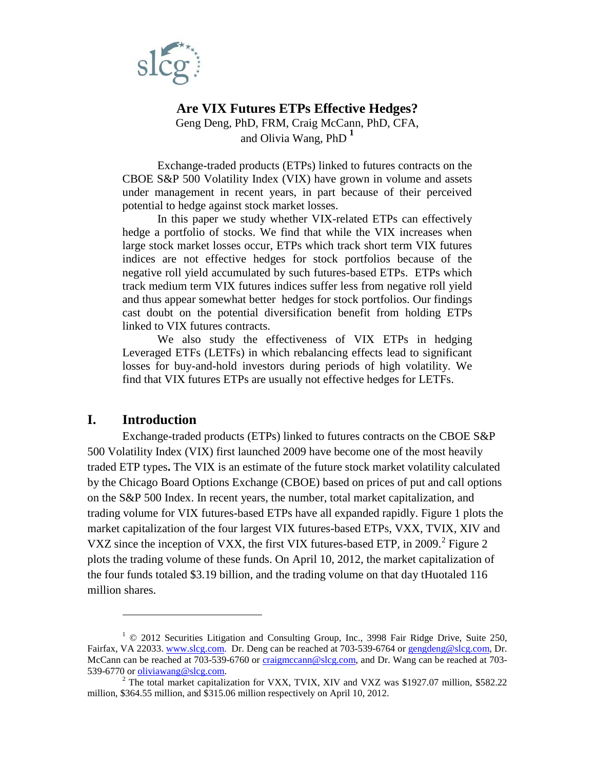

# **Are VIX Futures ETPs Effective Hedges?** Geng Deng, PhD, FRM, Craig McCann, PhD, CFA, and Olivia Wang, PhD **[1](#page-0-0)**

Exchange-traded products (ETPs) linked to futures contracts on the CBOE S&P 500 Volatility Index (VIX) have grown in volume and assets under management in recent years, in part because of their perceived potential to hedge against stock market losses.

In this paper we study whether VIX-related ETPs can effectively hedge a portfolio of stocks. We find that while the VIX increases when large stock market losses occur, ETPs which track short term VIX futures indices are not effective hedges for stock portfolios because of the negative roll yield accumulated by such futures-based ETPs. ETPs which track medium term VIX futures indices suffer less from negative roll yield and thus appear somewhat better hedges for stock portfolios. Our findings cast doubt on the potential diversification benefit from holding ETPs linked to VIX futures contracts.

We also study the effectiveness of VIX ETPs in hedging Leveraged ETFs (LETFs) in which rebalancing effects lead to significant losses for buy-and-hold investors during periods of high volatility. We find that VIX futures ETPs are usually not effective hedges for LETFs.

## **I. Introduction**

 $\overline{a}$ 

Exchange-traded products (ETPs) linked to futures contracts on the CBOE S&P 500 Volatility Index (VIX) first launched 2009 have become one of the most heavily traded ETP types**.** The VIX is an estimate of the future stock market volatility calculated by the Chicago Board Options Exchange (CBOE) based on prices of put and call options on the S&P 500 Index. In recent years, the number, total market capitalization, and trading volume for VIX futures-based ETPs have all expanded rapidly. Figure 1 plots the market capitalization of the four largest VIX futures-based ETPs, VXX, TVIX, XIV and VXZ since the inception of VXX, the first VIX futures-based ETP, in [2](#page-0-1)009.<sup>2</sup> Figure 2 plots the trading volume of these funds. On April 10, 2012, the market capitalization of the four funds totaled \$3.19 billion, and the trading volume on that day tHuotaled 116 million shares.

<span id="page-0-0"></span> $1 \odot 2012$  Securities Litigation and Consulting Group, Inc., 3998 Fair Ridge Drive, Suite 250, Fairfax, VA 22033. [www.slcg.com.](http://www.slcg.com/) Dr. Deng can be reached at 703-539-6764 or [gengdeng@slcg.com,](mailto:gengdeng@slcg.com) Dr. McCann can be reached at 703-539-6760 or [craigmccann@slcg.com,](mailto:craigmccann@slcg.com) and Dr. Wang can be reached at 703-539-6770 or oliviawang@slcg.com.

<span id="page-0-1"></span> $\frac{3}{2}$  The total market capitalization for VXX, TVIX, XIV and VXZ was \$1927.07 million, \$582.22 million, \$364.55 million, and \$315.06 million respectively on April 10, 2012.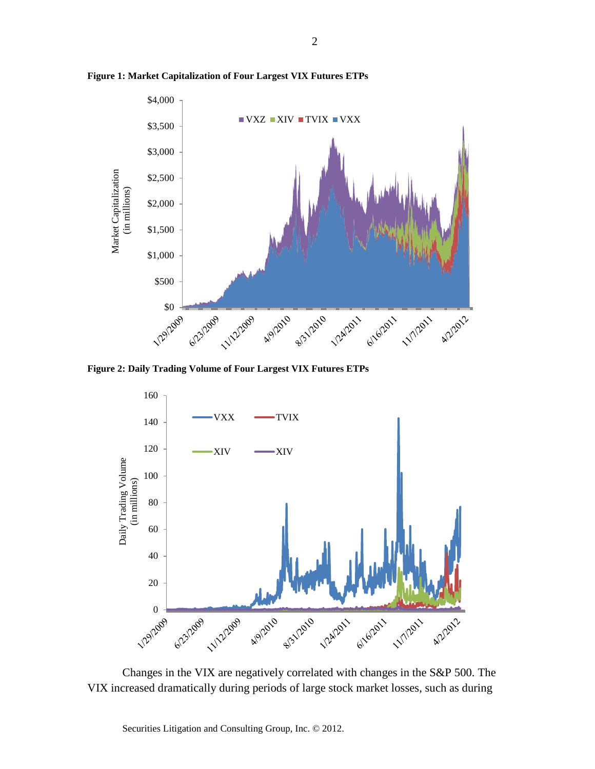

**Figure 1: Market Capitalization of Four Largest VIX Futures ETPs** 

**Figure 2: Daily Trading Volume of Four Largest VIX Futures ETPs**



Changes in the VIX are negatively correlated with changes in the S&P 500. The VIX increased dramatically during periods of large stock market losses, such as during

Securities Litigation and Consulting Group, Inc. © 2012.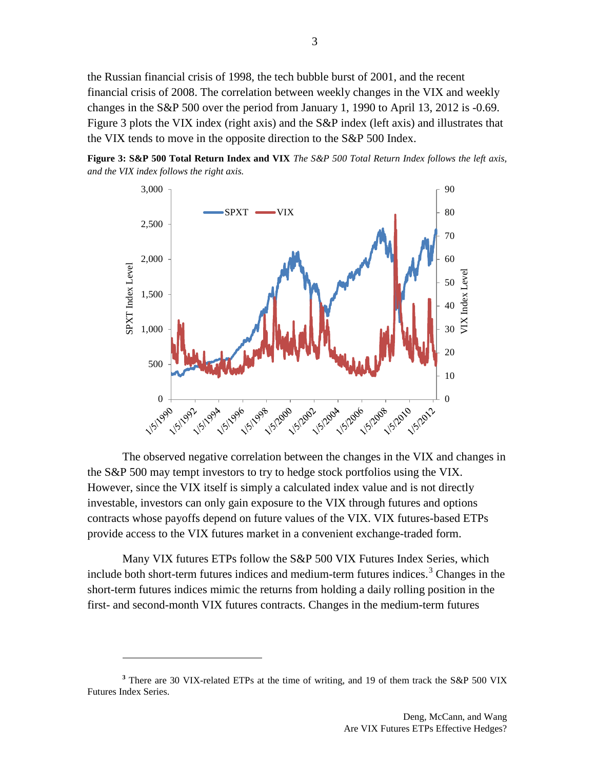the Russian financial crisis of 1998, the tech bubble burst of 2001, and the recent financial crisis of 2008. The correlation between weekly changes in the VIX and weekly changes in the S&P 500 over the period from January 1, 1990 to April 13, 2012 is -0.69. Figure 3 plots the VIX index (right axis) and the S&P index (left axis) and illustrates that the VIX tends to move in the opposite direction to the S&P 500 Index.

**Figure 3: S&P 500 Total Return Index and VIX** *The S&P 500 Total Return Index follows the left axis, and the VIX index follows the right axis.*



The observed negative correlation between the changes in the VIX and changes in the S&P 500 may tempt investors to try to hedge stock portfolios using the VIX. However, since the VIX itself is simply a calculated index value and is not directly investable, investors can only gain exposure to the VIX through futures and options contracts whose payoffs depend on future values of the VIX. VIX futures-based ETPs provide access to the VIX futures market in a convenient exchange-traded form.

Many VIX futures ETPs follow the S&P 500 VIX Futures Index Series, which include both short-term futures indices and medium-term futures indices.<sup>[3](#page-2-0)</sup> Changes in the short-term futures indices mimic the returns from holding a daily rolling position in the first- and second-month VIX futures contracts. Changes in the medium-term futures

<span id="page-2-0"></span>**<sup>3</sup>** There are 30 VIX-related ETPs at the time of writing, and 19 of them track the S&P 500 VIX Futures Index Series.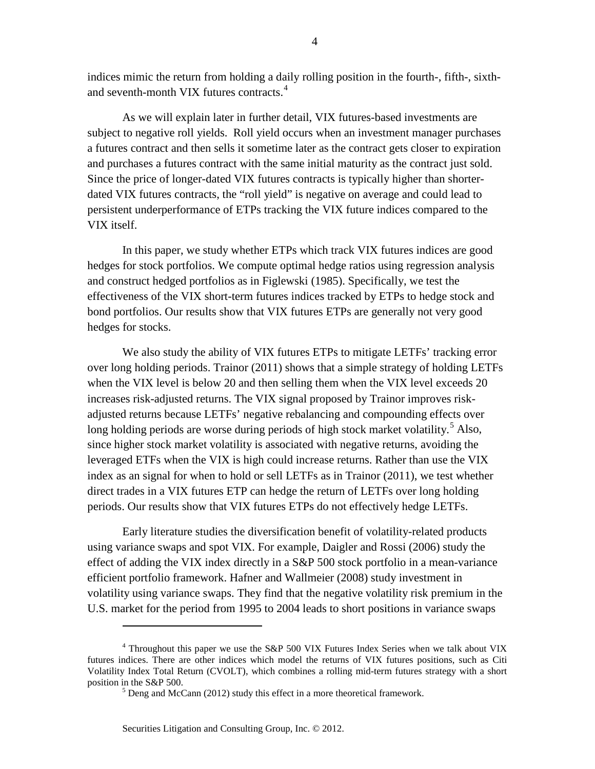indices mimic the return from holding a daily rolling position in the fourth-, fifth-, sixth-and seventh-month VIX futures contracts.<sup>[4](#page-3-0)</sup>

As we will explain later in further detail, VIX futures-based investments are subject to negative roll yields. Roll yield occurs when an investment manager purchases a futures contract and then sells it sometime later as the contract gets closer to expiration and purchases a futures contract with the same initial maturity as the contract just sold. Since the price of longer-dated VIX futures contracts is typically higher than shorterdated VIX futures contracts, the "roll yield" is negative on average and could lead to persistent underperformance of ETPs tracking the VIX future indices compared to the VIX itself.

In this paper, we study whether ETPs which track VIX futures indices are good hedges for stock portfolios. We compute optimal hedge ratios using regression analysis and construct hedged portfolios as in Figlewski (1985). Specifically, we test the effectiveness of the VIX short-term futures indices tracked by ETPs to hedge stock and bond portfolios. Our results show that VIX futures ETPs are generally not very good hedges for stocks.

We also study the ability of VIX futures ETPs to mitigate LETFs' tracking error over long holding periods. Trainor (2011) shows that a simple strategy of holding LETFs when the VIX level is below 20 and then selling them when the VIX level exceeds 20 increases risk-adjusted returns. The VIX signal proposed by Trainor improves riskadjusted returns because LETFs' negative rebalancing and compounding effects over long holding periods are worse during periods of high stock market volatility.<sup>[5](#page-3-1)</sup> Also, since higher stock market volatility is associated with negative returns, avoiding the leveraged ETFs when the VIX is high could increase returns. Rather than use the VIX index as an signal for when to hold or sell LETFs as in Trainor (2011), we test whether direct trades in a VIX futures ETP can hedge the return of LETFs over long holding periods. Our results show that VIX futures ETPs do not effectively hedge LETFs.

Early literature studies the diversification benefit of volatility-related products using variance swaps and spot VIX. For example, Daigler and Rossi (2006) study the effect of adding the VIX index directly in a S&P 500 stock portfolio in a mean-variance efficient portfolio framework. Hafner and Wallmeier (2008) study investment in volatility using variance swaps. They find that the negative volatility risk premium in the U.S. market for the period from 1995 to 2004 leads to short positions in variance swaps

<span id="page-3-1"></span><span id="page-3-0"></span><sup>&</sup>lt;sup>4</sup> Throughout this paper we use the S&P 500 VIX Futures Index Series when we talk about VIX futures indices. There are other indices which model the returns of VIX futures positions, such as Citi Volatility Index Total Return (CVOLT), which combines a rolling mid-term futures strategy with a short position in the S&P 500.

 $5$  Deng and McCann (2012) study this effect in a more theoretical framework.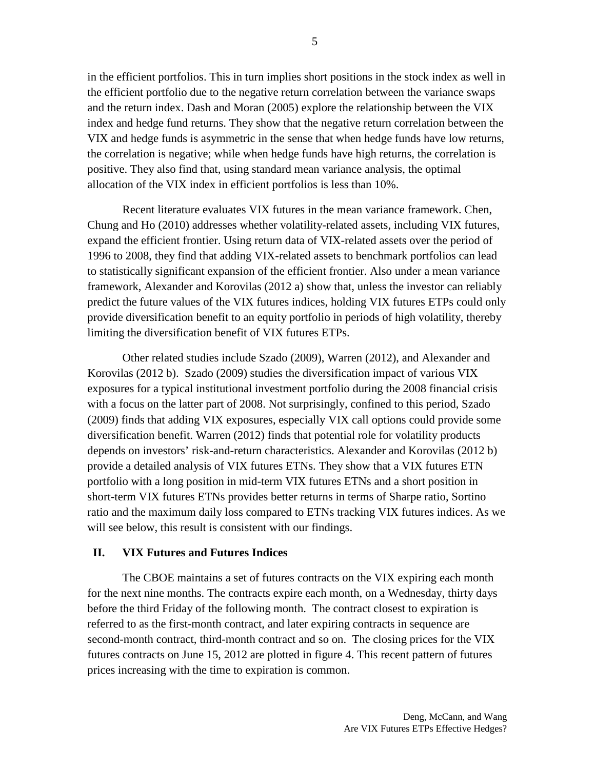in the efficient portfolios. This in turn implies short positions in the stock index as well in the efficient portfolio due to the negative return correlation between the variance swaps and the return index. Dash and Moran (2005) explore the relationship between the VIX index and hedge fund returns. They show that the negative return correlation between the VIX and hedge funds is asymmetric in the sense that when hedge funds have low returns, the correlation is negative; while when hedge funds have high returns, the correlation is positive. They also find that, using standard mean variance analysis, the optimal allocation of the VIX index in efficient portfolios is less than 10%.

Recent literature evaluates VIX futures in the mean variance framework. Chen, Chung and Ho (2010) addresses whether volatility-related assets, including VIX futures, expand the efficient frontier. Using return data of VIX-related assets over the period of 1996 to 2008, they find that adding VIX-related assets to benchmark portfolios can lead to statistically significant expansion of the efficient frontier. Also under a mean variance framework, Alexander and Korovilas (2012 a) show that, unless the investor can reliably predict the future values of the VIX futures indices, holding VIX futures ETPs could only provide diversification benefit to an equity portfolio in periods of high volatility, thereby limiting the diversification benefit of VIX futures ETPs.

Other related studies include Szado (2009), Warren (2012), and Alexander and Korovilas (2012 b). Szado (2009) studies the diversification impact of various VIX exposures for a typical institutional investment portfolio during the 2008 financial crisis with a focus on the latter part of 2008. Not surprisingly, confined to this period, Szado (2009) finds that adding VIX exposures, especially VIX call options could provide some diversification benefit. Warren (2012) finds that potential role for volatility products depends on investors' risk-and-return characteristics. Alexander and Korovilas (2012 b) provide a detailed analysis of VIX futures ETNs. They show that a VIX futures ETN portfolio with a long position in mid-term VIX futures ETNs and a short position in short-term VIX futures ETNs provides better returns in terms of Sharpe ratio, Sortino ratio and the maximum daily loss compared to ETNs tracking VIX futures indices. As we will see below, this result is consistent with our findings.

### **II. VIX Futures and Futures Indices**

The CBOE maintains a set of futures contracts on the VIX expiring each month for the next nine months. The contracts expire each month, on a Wednesday, thirty days before the third Friday of the following month. The contract closest to expiration is referred to as the first-month contract, and later expiring contracts in sequence are second-month contract, third-month contract and so on. The closing prices for the VIX futures contracts on June 15, 2012 are plotted in figure 4. This recent pattern of futures prices increasing with the time to expiration is common.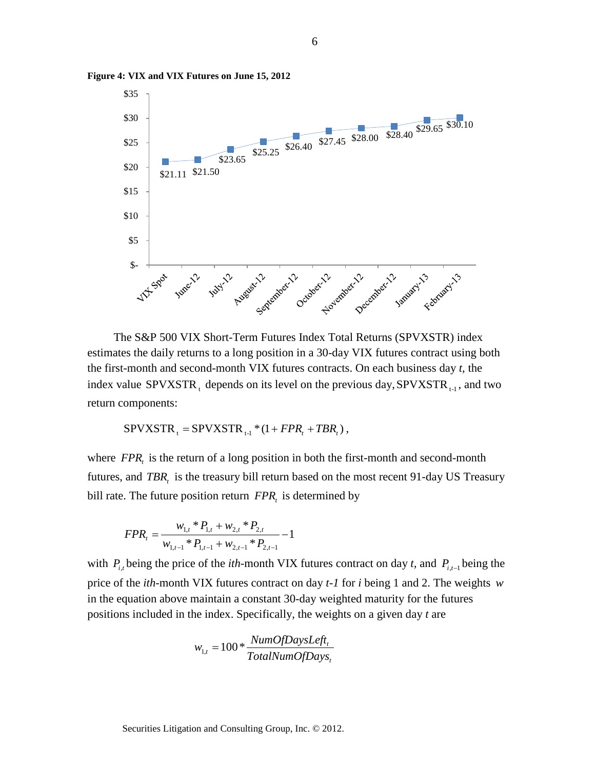

**Figure 4: VIX and VIX Futures on June 15, 2012**

The S&P 500 VIX Short-Term Futures Index Total Returns (SPVXSTR) index estimates the daily returns to a long position in a 30-day VIX futures contract using both the first-month and second-month VIX futures contracts. On each business day *t*, the index value SPVXSTR, depends on its level on the previous day, SPVXSTR $_{t-1}$ , and two return components:

 $SPVXSTR_{t} = SPVXSTR_{t-1} * (1 + FPR_{t} + TBR_{t}),$ 

where *FPR*, is the return of a long position in both the first-month and second-month futures, and *TBR*, is the treasury bill return based on the most recent 91-day US Treasury bill rate. The future position return  $FPR<sub>t</sub>$  is determined by

$$
FPR_t = \frac{w_{1,t} * P_{1,t} + w_{2,t} * P_{2,t}}{w_{1,t-1} * P_{1,t-1} + w_{2,t-1} * P_{2,t-1}} - 1
$$

with  $P_{i,t}$  being the price of the *ith*-month VIX futures contract on day *t*, and  $P_{i,t-1}$  being the price of the *ith*-month VIX futures contract on day *t-1* for *i* being 1 and 2. The weights *w* in the equation above maintain a constant 30-day weighted maturity for the futures positions included in the index. Specifically, the weights on a given day *t* are

$$
w_{1,t} = 100 * \frac{NumOf DaysLeft_t}{TotalNumOf Days_t}
$$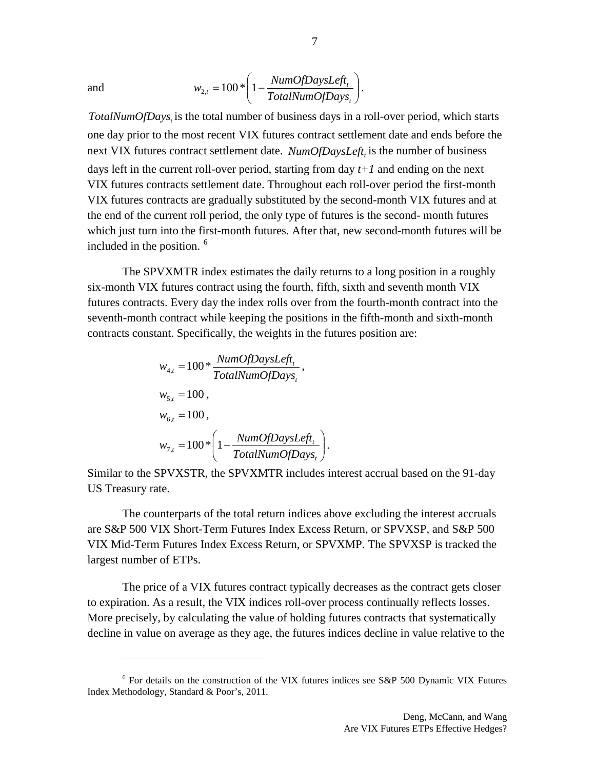$\overline{a}$ 

and 
$$
w_{2,t} = 100 \times \left(1 - \frac{NumOfDaysLeft_t}{TotalNumOfDays_t}\right).
$$

*TotalNumOfDays*, is the total number of business days in a roll-over period, which starts one day prior to the most recent VIX futures contract settlement date and ends before the next VIX futures contract settlement date. *NumOfDaysLeft*, is the number of business days left in the current roll-over period, starting from day *t+1* and ending on the next VIX futures contracts settlement date. Throughout each roll-over period the first-month VIX futures contracts are gradually substituted by the second-month VIX futures and at the end of the current roll period, the only type of futures is the second- month futures which just turn into the first-month futures. After that, new second-month futures will be included in the position.<sup>[6](#page-6-0)</sup>

The SPVXMTR index estimates the daily returns to a long position in a roughly six-month VIX futures contract using the fourth, fifth, sixth and seventh month VIX futures contracts. Every day the index rolls over from the fourth-month contract into the seventh-month contract while keeping the positions in the fifth-month and sixth-month contracts constant. Specifically, the weights in the futures position are:

$$
w_{4,t} = 100 * \frac{NumOfDaySLeft_t}{TotalNumOfDays_t},
$$
  
\n
$$
w_{5,t} = 100,
$$
  
\n
$$
w_{6,t} = 100,
$$
  
\n
$$
w_{7,t} = 100 * \left(1 - \frac{NumOfDaySLeft_t}{TotalNumOfDays_t}\right).
$$

Similar to the SPVXSTR, the SPVXMTR includes interest accrual based on the 91-day US Treasury rate.

The counterparts of the total return indices above excluding the interest accruals are S&P 500 VIX Short-Term Futures Index Excess Return, or SPVXSP, and S&P 500 VIX Mid-Term Futures Index Excess Return, or SPVXMP. The SPVXSP is tracked the largest number of ETPs.

The price of a VIX futures contract typically decreases as the contract gets closer to expiration. As a result, the VIX indices roll-over process continually reflects losses. More precisely, by calculating the value of holding futures contracts that systematically decline in value on average as they age, the futures indices decline in value relative to the

<span id="page-6-0"></span> $6$  For details on the construction of the VIX futures indices see S&P 500 Dynamic VIX Futures Index Methodology, Standard & Poor's, 2011.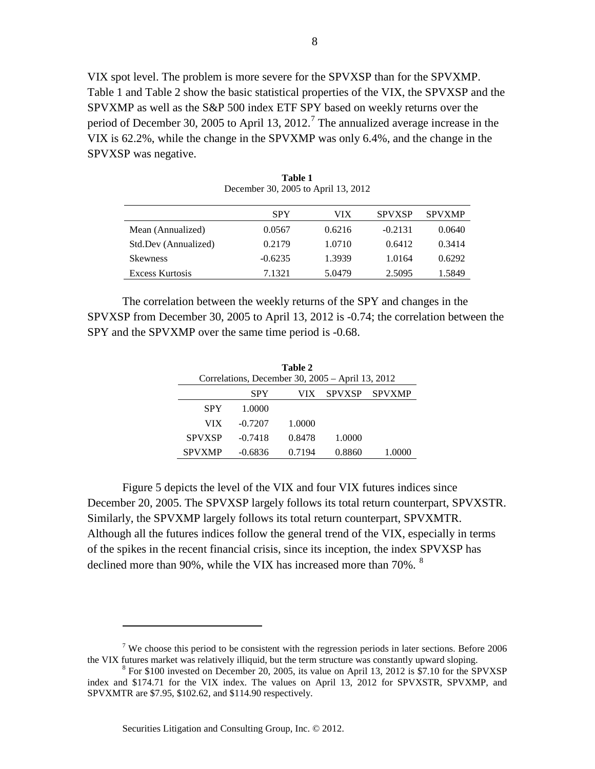VIX spot level. The problem is more severe for the SPVXSP than for the SPVXMP. Table 1 and Table 2 show the basic statistical properties of the VIX, the SPVXSP and the SPVXMP as well as the S&P 500 index ETF SPY based on weekly returns over the period of December 30, 2005 to April 13, 2012.<sup>[7](#page-7-0)</sup> The annualized average increase in the VIX is 62.2%, while the change in the SPVXMP was only 6.4%, and the change in the SPVXSP was negative.

|                        | <b>SPY</b> | VIX    | <b>SPVXSP</b> | <b>SPVXMP</b> |
|------------------------|------------|--------|---------------|---------------|
| Mean (Annualized)      | 0.0567     | 0.6216 | $-0.2131$     | 0.0640        |
| Std.Dev (Annualized)   | 0.2179     | 1.0710 | 0.6412        | 0.3414        |
| <b>Skewness</b>        | $-0.6235$  | 1.3939 | 1.0164        | 0.6292        |
| <b>Excess Kurtosis</b> | 7.1321     | 5.0479 | 2.5095        | 1.5849        |

**Table 1** December 30, 2005 to April 13, 2012

The correlation between the weekly returns of the SPY and changes in the SPVXSP from December 30, 2005 to April 13, 2012 is -0.74; the correlation between the SPY and the SPVXMP over the same time period is -0.68.

| Table 2       |                                                    |        |               |        |  |  |  |
|---------------|----------------------------------------------------|--------|---------------|--------|--|--|--|
|               | Correlations, December 30, $2005 -$ April 13, 2012 |        |               |        |  |  |  |
|               | SPY                                                | VIX.   | <b>SPVXSP</b> | SPVXMP |  |  |  |
| <b>SPY</b>    | 1.0000                                             |        |               |        |  |  |  |
| VIX           | $-0.7207$                                          | 1.0000 |               |        |  |  |  |
| <b>SPVXSP</b> | $-0.7418$                                          | 0.8478 | 1.0000        |        |  |  |  |
| <b>SPVXMP</b> | $-0.6836$                                          | 0.7194 | 0.8860        |        |  |  |  |

Figure 5 depicts the level of the VIX and four VIX futures indices since December 20, 2005. The SPVXSP largely follows its total return counterpart, SPVXSTR. Similarly, the SPVXMP largely follows its total return counterpart, SPVXMTR. Although all the futures indices follow the general trend of the VIX, especially in terms of the spikes in the recent financial crisis, since its inception, the index SPVXSP has declined more than 90%, while the VIX has increased more than  $70\%$ .  $8$ 

<span id="page-7-0"></span><sup>&</sup>lt;sup>7</sup> We choose this period to be consistent with the regression periods in later sections. Before 2006 the VIX futures market was relatively illiquid, but the term structure was constantly upward sloping.

<span id="page-7-1"></span> $8$  For \$100 invested on December 20, 2005, its value on April 13, 2012 is \$7.10 for the SPVXSP index and \$174.71 for the VIX index. The values on April 13, 2012 for SPVXSTR, SPVXMP, and SPVXMTR are \$7.95, \$102.62, and \$114.90 respectively.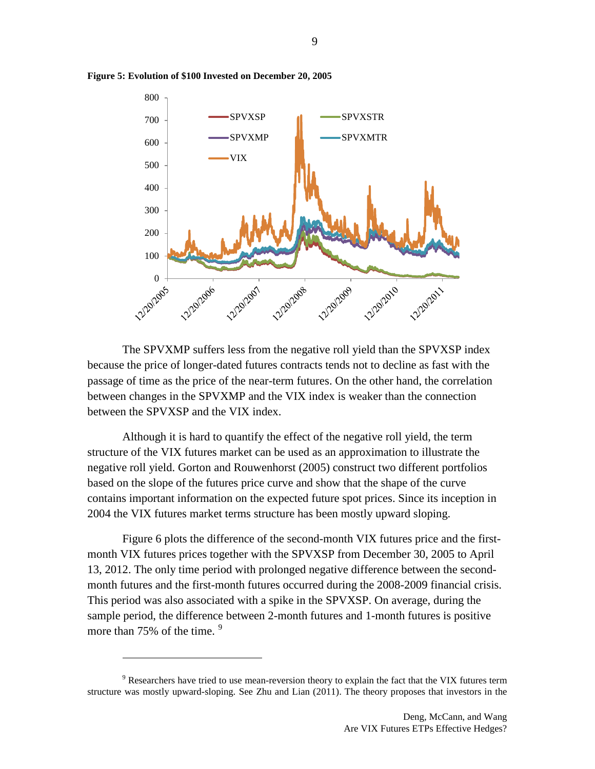

**Figure 5: Evolution of \$100 Invested on December 20, 2005**

The SPVXMP suffers less from the negative roll yield than the SPVXSP index because the price of longer-dated futures contracts tends not to decline as fast with the passage of time as the price of the near-term futures. On the other hand, the correlation between changes in the SPVXMP and the VIX index is weaker than the connection between the SPVXSP and the VIX index.

Although it is hard to quantify the effect of the negative roll yield, the term structure of the VIX futures market can be used as an approximation to illustrate the negative roll yield. Gorton and Rouwenhorst (2005) construct two different portfolios based on the slope of the futures price curve and show that the shape of the curve contains important information on the expected future spot prices. Since its inception in 2004 the VIX futures market terms structure has been mostly upward sloping.

Figure 6 plots the difference of the second-month VIX futures price and the firstmonth VIX futures prices together with the SPVXSP from December 30, 2005 to April 13, 2012. The only time period with prolonged negative difference between the secondmonth futures and the first-month futures occurred during the 2008-2009 financial crisis. This period was also associated with a spike in the SPVXSP. On average, during the sample period, the difference between 2-month futures and 1-month futures is positive more than 75% of the time. <sup>[9](#page-8-0)</sup>

<span id="page-8-0"></span> $9$  Researchers have tried to use mean-reversion theory to explain the fact that the VIX futures term structure was mostly upward-sloping. See Zhu and Lian (2011). The theory proposes that investors in the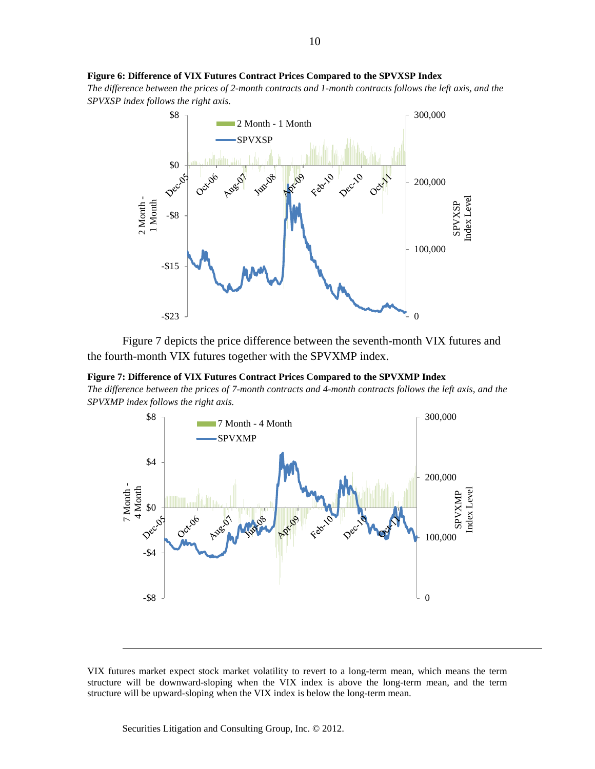#### **Figure 6: Difference of VIX Futures Contract Prices Compared to the SPVXSP Index**

*The difference between the prices of 2-month contracts and 1-month contracts follows the left axis, and the SPVXSP index follows the right axis.*



Figure 7 depicts the price difference between the seventh-month VIX futures and the fourth-month VIX futures together with the SPVXMP index.

**Figure 7: Difference of VIX Futures Contract Prices Compared to the SPVXMP Index**

*The difference between the prices of 7-month contracts and 4-month contracts follows the left axis, and the SPVXMP index follows the right axis.*



VIX futures market expect stock market volatility to revert to a long-term mean, which means the term structure will be downward-sloping when the VIX index is above the long-term mean, and the term structure will be upward-sloping when the VIX index is below the long-term mean.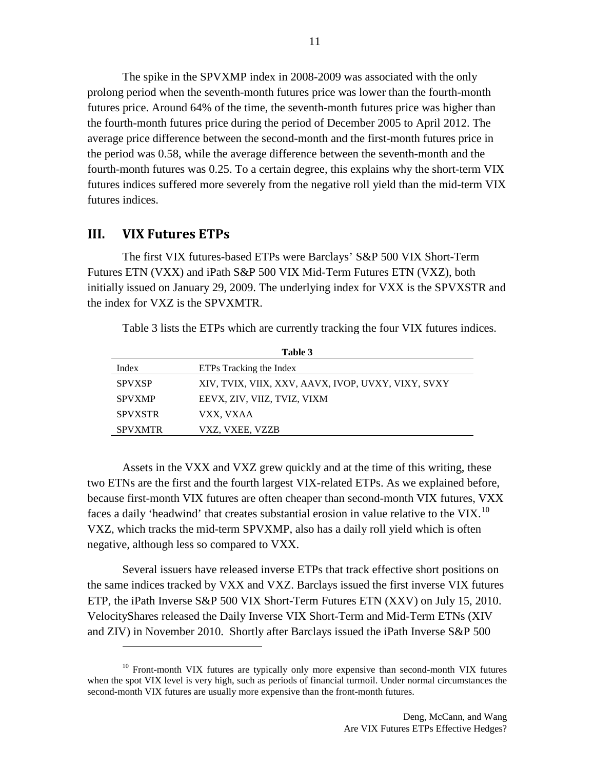The spike in the SPVXMP index in 2008-2009 was associated with the only prolong period when the seventh-month futures price was lower than the fourth-month futures price. Around 64% of the time, the seventh-month futures price was higher than the fourth-month futures price during the period of December 2005 to April 2012. The average price difference between the second-month and the first-month futures price in the period was 0.58, while the average difference between the seventh-month and the fourth-month futures was 0.25. To a certain degree, this explains why the short-term VIX futures indices suffered more severely from the negative roll yield than the mid-term VIX futures indices.

#### **III. VIX Futures ETPs**

 $\overline{a}$ 

The first VIX futures-based ETPs were Barclays' S&P 500 VIX Short-Term Futures ETN (VXX) and iPath S&P 500 VIX Mid-Term Futures ETN (VXZ), both initially issued on January 29, 2009. The underlying index for VXX is the SPVXSTR and the index for VXZ is the SPVXMTR.

Table 3 lists the ETPs which are currently tracking the four VIX futures indices.

| Table 3        |                                                    |  |  |
|----------------|----------------------------------------------------|--|--|
| Index          | ETPs Tracking the Index                            |  |  |
| <b>SPVXSP</b>  | XIV, TVIX, VIIX, XXV, AAVX, IVOP, UVXY, VIXY, SVXY |  |  |
| <b>SPVXMP</b>  | EEVX, ZIV, VIIZ, TVIZ, VIXM                        |  |  |
| <b>SPVXSTR</b> | VXX, VXAA                                          |  |  |
| <b>SPVXMTR</b> | VXZ, VXEE, VZZB                                    |  |  |

Assets in the VXX and VXZ grew quickly and at the time of this writing, these two ETNs are the first and the fourth largest VIX-related ETPs. As we explained before, because first-month VIX futures are often cheaper than second-month VIX futures, VXX faces a daily 'headwind' that creates substantial erosion in value relative to the VIX.<sup>10</sup> VXZ, which tracks the mid-term SPVXMP, also has a daily roll yield which is often negative, although less so compared to VXX.

Several issuers have released inverse ETPs that track effective short positions on the same indices tracked by VXX and VXZ. Barclays issued the first inverse VIX futures ETP, the iPath Inverse S&P 500 VIX Short-Term Futures ETN (XXV) on July 15, 2010. VelocityShares released the Daily Inverse VIX Short-Term and Mid-Term ETNs (XIV and ZIV) in November 2010. Shortly after Barclays issued the iPath Inverse S&P 500

<span id="page-10-0"></span><sup>&</sup>lt;sup>10</sup> Front-month VIX futures are typically only more expensive than second-month VIX futures when the spot VIX level is very high, such as periods of financial turmoil. Under normal circumstances the second-month VIX futures are usually more expensive than the front-month futures.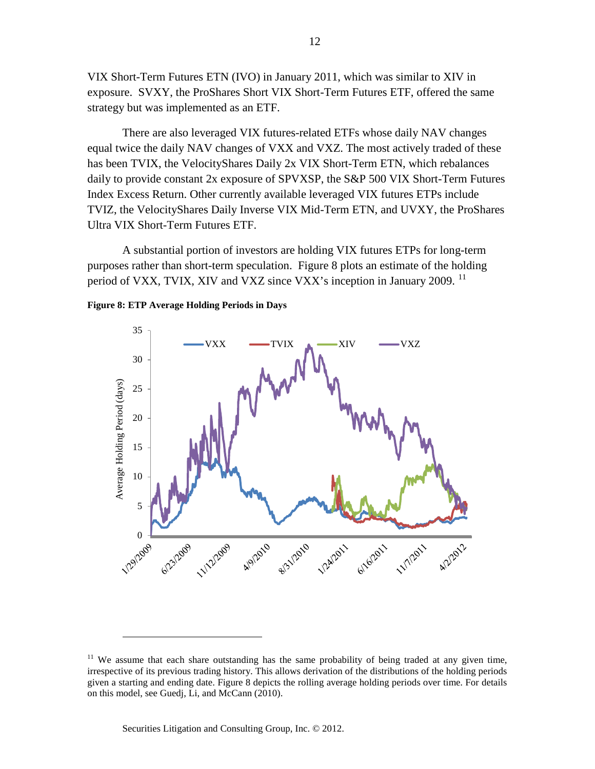VIX Short-Term Futures ETN (IVO) in January 2011, which was similar to XIV in exposure. SVXY, the ProShares Short VIX Short-Term Futures ETF, offered the same strategy but was implemented as an ETF.

There are also leveraged VIX futures-related ETFs whose daily NAV changes equal twice the daily NAV changes of VXX and VXZ. The most actively traded of these has been TVIX, the VelocityShares Daily 2x VIX Short-Term ETN, which rebalances daily to provide constant 2x exposure of SPVXSP, the S&P 500 VIX Short-Term Futures Index Excess Return. Other currently available leveraged VIX futures ETPs include TVIZ, the VelocityShares Daily Inverse VIX Mid-Term ETN, and UVXY, the ProShares Ultra VIX Short-Term Futures ETF.

A substantial portion of investors are holding VIX futures ETPs for long-term purposes rather than short-term speculation. Figure 8 plots an estimate of the holding period of VXX, TVIX, XIV and VXZ since VXX's inception in January 2009.<sup>[11](#page-11-0)</sup>





<span id="page-11-0"></span><sup>&</sup>lt;sup>11</sup> We assume that each share outstanding has the same probability of being traded at any given time, irrespective of its previous trading history. This allows derivation of the distributions of the holding periods given a starting and ending date. Figure 8 depicts the rolling average holding periods over time. For details on this model, see Guedj, Li, and McCann (2010).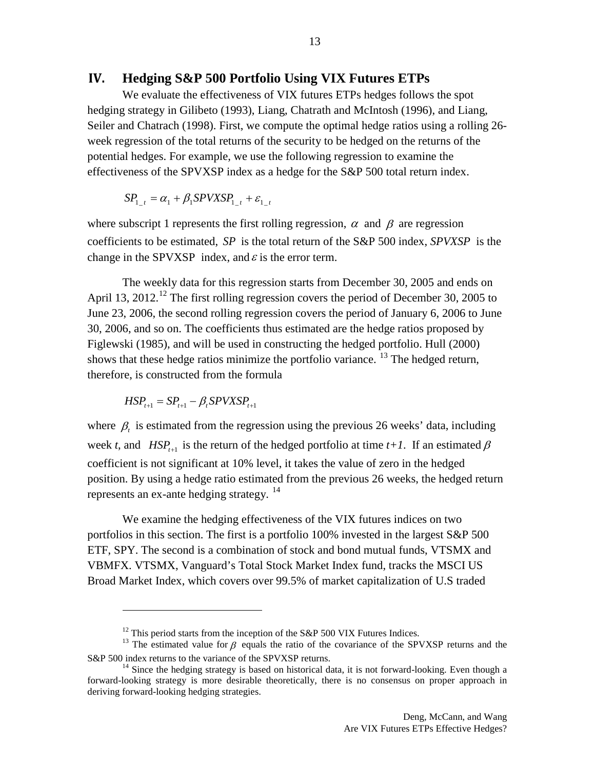#### **IV. Hedging S&P 500 Portfolio Using VIX Futures ETPs**

We evaluate the effectiveness of VIX futures ETPs hedges follows the spot hedging strategy in Gilibeto (1993), Liang, Chatrath and McIntosh (1996), and Liang, Seiler and Chatrach (1998). First, we compute the optimal hedge ratios using a rolling 26 week regression of the total returns of the security to be hedged on the returns of the potential hedges. For example, we use the following regression to examine the effectiveness of the SPVXSP index as a hedge for the S&P 500 total return index.

$$
SP_{1-t} = \alpha_1 + \beta_1 SPVXSP_{1-t} + \varepsilon_{1-t}
$$

where subscript 1 represents the first rolling regression,  $\alpha$  and  $\beta$  are regression coefficients to be estimated, *SP* is the total return of the S&P 500 index, *SPVXSP* is the change in the SPVXSP index, and  $\varepsilon$  is the error term.

The weekly data for this regression starts from December 30, 2005 and ends on April 13, 20[12](#page-12-0).<sup>12</sup> The first rolling regression covers the period of December 30, 2005 to June 23, 2006, the second rolling regression covers the period of January 6, 2006 to June 30, 2006, and so on. The coefficients thus estimated are the hedge ratios proposed by Figlewski (1985), and will be used in constructing the hedged portfolio. Hull (2000) shows that these hedge ratios minimize the portfolio variance.  $^{13}$  $^{13}$  $^{13}$  The hedged return, therefore, is constructed from the formula

$$
HSP_{t+1} = SP_{t+1} - \beta_t SPVXSP_{t+1}
$$

 $\overline{a}$ 

where  $\beta_t$  is estimated from the regression using the previous 26 weeks' data, including week *t*, and *HSP<sub>t+1</sub>* is the return of the hedged portfolio at time  $t+1$ . If an estimated  $\beta$ coefficient is not significant at 10% level, it takes the value of zero in the hedged position. By using a hedge ratio estimated from the previous 26 weeks, the hedged return represents an ex-ante hedging strategy.  $14$ 

We examine the hedging effectiveness of the VIX futures indices on two portfolios in this section. The first is a portfolio 100% invested in the largest S&P 500 ETF, SPY. The second is a combination of stock and bond mutual funds, VTSMX and VBMFX. VTSMX, Vanguard's Total Stock Market Index fund, tracks the MSCI US Broad Market Index, which covers over 99.5% of market capitalization of U.S traded

<span id="page-12-1"></span><span id="page-12-0"></span><sup>&</sup>lt;sup>12</sup> This period starts from the inception of the S&P 500 VIX Futures Indices.<br><sup>13</sup> The estimated value for β equals the ratio of the covariance of the SPVXSP returns and the S&P 500 index returns to the variance of the SPVXSP returns.<br><sup>14</sup> Since the hedging strategy is based on historical data, it is not forward-looking. Even though a

<span id="page-12-2"></span>forward-looking strategy is more desirable theoretically, there is no consensus on proper approach in deriving forward-looking hedging strategies.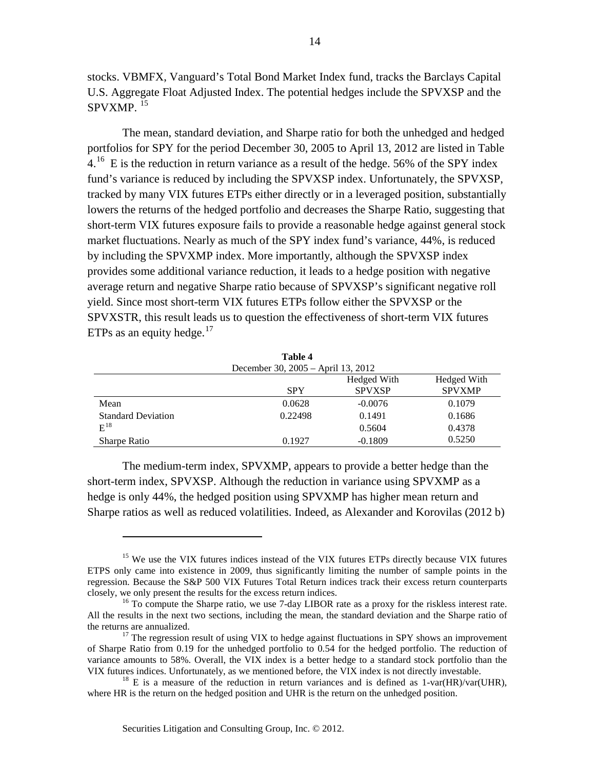stocks. VBMFX, Vanguard's Total Bond Market Index fund, tracks the Barclays Capital U.S. Aggregate Float Adjusted Index. The potential hedges include the SPVXSP and the  $SPVXMP.$ <sup>[15](#page-13-0)</sup>

The mean, standard deviation, and Sharpe ratio for both the unhedged and hedged portfolios for SPY for the period December 30, 2005 to April 13, 2012 are listed in Table  $4<sup>16</sup>$  $4<sup>16</sup>$  $4<sup>16</sup>$  E is the reduction in return variance as a result of the hedge. 56% of the SPY index fund's variance is reduced by including the SPVXSP index. Unfortunately, the SPVXSP, tracked by many VIX futures ETPs either directly or in a leveraged position, substantially lowers the returns of the hedged portfolio and decreases the Sharpe Ratio, suggesting that short-term VIX futures exposure fails to provide a reasonable hedge against general stock market fluctuations. Nearly as much of the SPY index fund's variance, 44%, is reduced by including the SPVXMP index. More importantly, although the SPVXSP index provides some additional variance reduction, it leads to a hedge position with negative average return and negative Sharpe ratio because of SPVXSP's significant negative roll yield. Since most short-term VIX futures ETPs follow either the SPVXSP or the SPVXSTR, this result leads us to question the effectiveness of short-term VIX futures ETPs as an equity hedge. $17$ 

| Table 4                            |            |                              |                              |  |  |  |
|------------------------------------|------------|------------------------------|------------------------------|--|--|--|
| December 30, 2005 – April 13, 2012 |            |                              |                              |  |  |  |
|                                    | <b>SPY</b> | Hedged With<br><b>SPVXSP</b> | Hedged With<br><b>SPVXMP</b> |  |  |  |
| Mean                               | 0.0628     | $-0.0076$                    | 0.1079                       |  |  |  |
| <b>Standard Deviation</b>          | 0.22498    | 0.1491                       | 0.1686                       |  |  |  |
| $E^{18}$                           |            | 0.5604                       | 0.4378                       |  |  |  |
| <b>Sharpe Ratio</b>                | 0.1927     | $-0.1809$                    | 0.5250                       |  |  |  |

The medium-term index, SPVXMP, appears to provide a better hedge than the short-term index, SPVXSP. Although the reduction in variance using SPVXMP as a hedge is only 44%, the hedged position using SPVXMP has higher mean return and Sharpe ratios as well as reduced volatilities. Indeed, as Alexander and Korovilas (2012 b)

<span id="page-13-0"></span><sup>&</sup>lt;sup>15</sup> We use the VIX futures indices instead of the VIX futures ETPs directly because VIX futures ETPS only came into existence in 2009, thus significantly limiting the number of sample points in the regression. Because the S&P 500 VIX Futures Total Return indices track their excess return counterparts closely, we only present the results for the excess return indices.

<span id="page-13-1"></span> $16$  To compute the Sharpe ratio, we use 7-day LIBOR rate as a proxy for the riskless interest rate. All the results in the next two sections, including the mean, the standard deviation and the Sharpe ratio of the returns are annualized.<br><sup>17</sup> The regression result of using VIX to hedge against fluctuations in SPY shows an improvement

<span id="page-13-2"></span>of Sharpe Ratio from 0.19 for the unhedged portfolio to 0.54 for the hedged portfolio. The reduction of variance amounts to 58%. Overall, the VIX index is a better hedge to a standard stock portfolio than the VIX futures indices. Unfortunately, as we mentioned before, the VIX index is not directly investable.<br><sup>18</sup> E is a measure of the reduction in return variances and is defined as  $1$ -var(HR)/var(UHR),

<span id="page-13-3"></span>where HR is the return on the hedged position and UHR is the return on the unhedged position.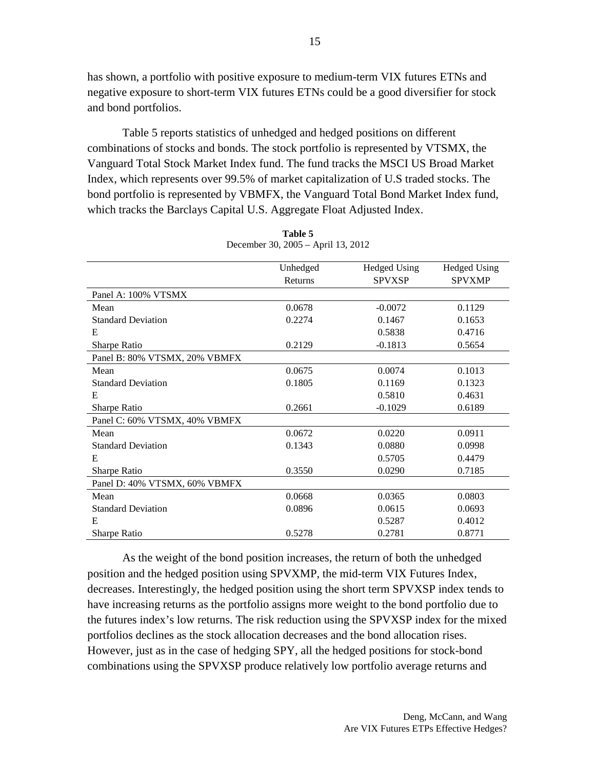has shown, a portfolio with positive exposure to medium-term VIX futures ETNs and negative exposure to short-term VIX futures ETNs could be a good diversifier for stock and bond portfolios.

Table 5 reports statistics of unhedged and hedged positions on different combinations of stocks and bonds. The stock portfolio is represented by VTSMX, the Vanguard Total Stock Market Index fund. The fund tracks the MSCI US Broad Market Index, which represents over 99.5% of market capitalization of U.S traded stocks. The bond portfolio is represented by VBMFX, the Vanguard Total Bond Market Index fund, which tracks the Barclays Capital U.S. Aggregate Float Adjusted Index.

|                               | Unhedged | <b>Hedged Using</b> | <b>Hedged Using</b> |
|-------------------------------|----------|---------------------|---------------------|
|                               | Returns  | <b>SPVXSP</b>       | <b>SPVXMP</b>       |
| Panel A: 100% VTSMX           |          |                     |                     |
| Mean                          | 0.0678   | $-0.0072$           | 0.1129              |
| <b>Standard Deviation</b>     | 0.2274   | 0.1467              | 0.1653              |
| E                             |          | 0.5838              | 0.4716              |
| Sharpe Ratio                  | 0.2129   | $-0.1813$           | 0.5654              |
| Panel B: 80% VTSMX, 20% VBMFX |          |                     |                     |
| Mean                          | 0.0675   | 0.0074              | 0.1013              |
| <b>Standard Deviation</b>     | 0.1805   | 0.1169              | 0.1323              |
| E                             |          | 0.5810              | 0.4631              |
| Sharpe Ratio                  | 0.2661   | $-0.1029$           | 0.6189              |
| Panel C: 60% VTSMX, 40% VBMFX |          |                     |                     |
| Mean                          | 0.0672   | 0.0220              | 0.0911              |
| <b>Standard Deviation</b>     | 0.1343   | 0.0880              | 0.0998              |
| E                             |          | 0.5705              | 0.4479              |
| Sharpe Ratio                  | 0.3550   | 0.0290              | 0.7185              |
| Panel D: 40% VTSMX, 60% VBMFX |          |                     |                     |
| Mean                          | 0.0668   | 0.0365              | 0.0803              |
| <b>Standard Deviation</b>     | 0.0896   | 0.0615              | 0.0693              |
| E                             |          | 0.5287              | 0.4012              |
| Sharpe Ratio                  | 0.5278   | 0.2781              | 0.8771              |

**Table 5** December 30, 2005 – April 13, 2012

As the weight of the bond position increases, the return of both the unhedged position and the hedged position using SPVXMP, the mid-term VIX Futures Index, decreases. Interestingly, the hedged position using the short term SPVXSP index tends to have increasing returns as the portfolio assigns more weight to the bond portfolio due to the futures index's low returns. The risk reduction using the SPVXSP index for the mixed portfolios declines as the stock allocation decreases and the bond allocation rises. However, just as in the case of hedging SPY, all the hedged positions for stock-bond combinations using the SPVXSP produce relatively low portfolio average returns and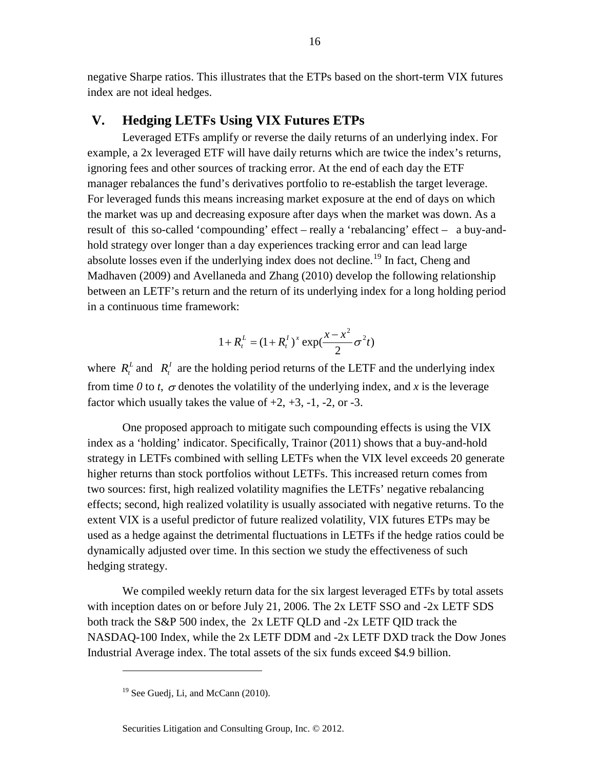negative Sharpe ratios. This illustrates that the ETPs based on the short-term VIX futures index are not ideal hedges.

#### **V. Hedging LETFs Using VIX Futures ETPs**

Leveraged ETFs amplify or reverse the daily returns of an underlying index. For example, a 2x leveraged ETF will have daily returns which are twice the index's returns, ignoring fees and other sources of tracking error. At the end of each day the ETF manager rebalances the fund's derivatives portfolio to re-establish the target leverage. For leveraged funds this means increasing market exposure at the end of days on which the market was up and decreasing exposure after days when the market was down. As a result of this so-called 'compounding' effect – really a 'rebalancing' effect – a buy-andhold strategy over longer than a day experiences tracking error and can lead large absolute losses even if the underlying index does not decline.<sup>[19](#page-15-0)</sup> In fact, Cheng and Madhaven (2009) and Avellaneda and Zhang (2010) develop the following relationship between an LETF's return and the return of its underlying index for a long holding period in a continuous time framework:

$$
1 + R_t^L = (1 + R_t^I)^x \exp(\frac{x - x^2}{2} \sigma^2 t)
$$

where  $R_t^L$  and  $R_t^I$  are the holding period returns of the LETF and the underlying index from time *0* to *t*,  $\sigma$  denotes the volatility of the underlying index, and *x* is the leverage factor which usually takes the value of  $+2$ ,  $+3$ ,  $-1$ ,  $-2$ , or  $-3$ .

One proposed approach to mitigate such compounding effects is using the VIX index as a 'holding' indicator. Specifically, Trainor (2011) shows that a buy-and-hold strategy in LETFs combined with selling LETFs when the VIX level exceeds 20 generate higher returns than stock portfolios without LETFs. This increased return comes from two sources: first, high realized volatility magnifies the LETFs' negative rebalancing effects; second, high realized volatility is usually associated with negative returns. To the extent VIX is a useful predictor of future realized volatility, VIX futures ETPs may be used as a hedge against the detrimental fluctuations in LETFs if the hedge ratios could be dynamically adjusted over time. In this section we study the effectiveness of such hedging strategy.

We compiled weekly return data for the six largest leveraged ETFs by total assets with inception dates on or before July 21, 2006. The 2x LETF SSO and -2x LETF SDS both track the S&P 500 index, the 2x LETF QLD and -2x LETF QID track the NASDAQ-100 Index, while the 2x LETF DDM and -2x LETF DXD track the Dow Jones Industrial Average index. The total assets of the six funds exceed \$4.9 billion.

<span id="page-15-0"></span> $19$  See Guedj, Li, and McCann (2010).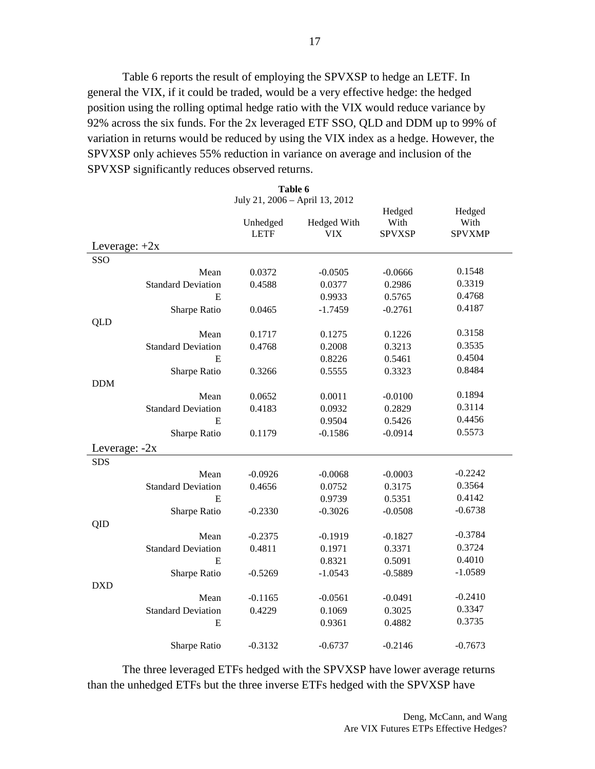Table 6 reports the result of employing the SPVXSP to hedge an LETF. In general the VIX, if it could be traded, would be a very effective hedge: the hedged position using the rolling optimal hedge ratio with the VIX would reduce variance by 92% across the six funds. For the 2x leveraged ETF SSO, QLD and DDM up to 99% of variation in returns would be reduced by using the VIX index as a hedge. However, the SPVXSP only achieves 55% reduction in variance on average and inclusion of the SPVXSP significantly reduces observed returns.

| Table 6         |                           |                                |                    |                                 |                                 |
|-----------------|---------------------------|--------------------------------|--------------------|---------------------------------|---------------------------------|
|                 |                           | July 21, 2006 - April 13, 2012 |                    |                                 |                                 |
| Leverage: $+2x$ |                           | Unhedged<br><b>LETF</b>        | Hedged With<br>VIX | Hedged<br>With<br><b>SPVXSP</b> | Hedged<br>With<br><b>SPVXMP</b> |
| SSO             |                           |                                |                    |                                 |                                 |
|                 | Mean                      | 0.0372                         | $-0.0505$          | $-0.0666$                       | 0.1548                          |
|                 | <b>Standard Deviation</b> | 0.4588                         | 0.0377             | 0.2986                          | 0.3319                          |
|                 | E                         |                                | 0.9933             | 0.5765                          | 0.4768                          |
|                 | Sharpe Ratio              | 0.0465                         | $-1.7459$          | $-0.2761$                       | 0.4187                          |
| <b>QLD</b>      |                           |                                |                    |                                 |                                 |
|                 | Mean                      | 0.1717                         | 0.1275             | 0.1226                          | 0.3158                          |
|                 | <b>Standard Deviation</b> | 0.4768                         | 0.2008             | 0.3213                          | 0.3535                          |
|                 | E                         |                                | 0.8226             | 0.5461                          | 0.4504                          |
|                 | Sharpe Ratio              | 0.3266                         | 0.5555             | 0.3323                          | 0.8484                          |
| <b>DDM</b>      |                           |                                |                    |                                 |                                 |
|                 | Mean                      | 0.0652                         | 0.0011             | $-0.0100$                       | 0.1894                          |
|                 | <b>Standard Deviation</b> | 0.4183                         | 0.0932             | 0.2829                          | 0.3114                          |
|                 | E                         |                                | 0.9504             | 0.5426                          | 0.4456                          |
|                 | Sharpe Ratio              | 0.1179                         | $-0.1586$          | $-0.0914$                       | 0.5573                          |
| Leverage: $-2x$ |                           |                                |                    |                                 |                                 |
| <b>SDS</b>      |                           |                                |                    |                                 |                                 |
|                 | Mean                      | $-0.0926$                      | $-0.0068$          | $-0.0003$                       | $-0.2242$                       |
|                 | <b>Standard Deviation</b> | 0.4656                         | 0.0752             | 0.3175                          | 0.3564                          |
|                 | E                         |                                | 0.9739             | 0.5351                          | 0.4142                          |
|                 | Sharpe Ratio              | $-0.2330$                      | $-0.3026$          | $-0.0508$                       | $-0.6738$                       |
| QID             |                           |                                |                    |                                 |                                 |
|                 | Mean                      | $-0.2375$                      | $-0.1919$          | $-0.1827$                       | $-0.3784$                       |
|                 | <b>Standard Deviation</b> | 0.4811                         | 0.1971             | 0.3371                          | 0.3724                          |
|                 | E                         |                                | 0.8321             | 0.5091                          | 0.4010                          |
|                 | Sharpe Ratio              | $-0.5269$                      | $-1.0543$          | $-0.5889$                       | $-1.0589$                       |
| <b>DXD</b>      |                           |                                |                    |                                 |                                 |
|                 | Mean                      | $-0.1165$                      | $-0.0561$          | $-0.0491$                       | $-0.2410$                       |
|                 | <b>Standard Deviation</b> | 0.4229                         | 0.1069             | 0.3025                          | 0.3347                          |
|                 | E                         |                                | 0.9361             | 0.4882                          | 0.3735                          |
|                 | Sharpe Ratio              | $-0.3132$                      | $-0.6737$          | $-0.2146$                       | $-0.7673$                       |

The three leveraged ETFs hedged with the SPVXSP have lower average returns than the unhedged ETFs but the three inverse ETFs hedged with the SPVXSP have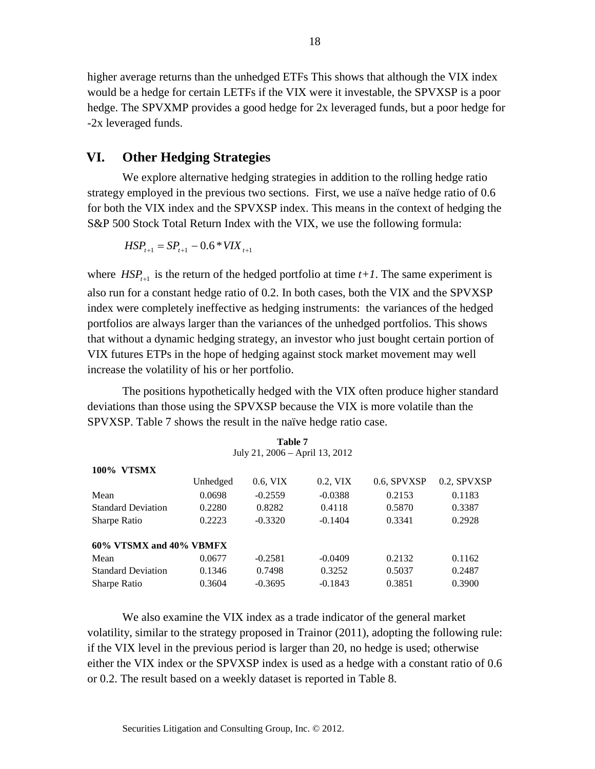higher average returns than the unhedged ETFs This shows that although the VIX index would be a hedge for certain LETFs if the VIX were it investable, the SPVXSP is a poor hedge. The SPVXMP provides a good hedge for 2x leveraged funds, but a poor hedge for -2x leveraged funds.

# **VI. Other Hedging Strategies**

We explore alternative hedging strategies in addition to the rolling hedge ratio strategy employed in the previous two sections. First, we use a naïve hedge ratio of 0.6 for both the VIX index and the SPVXSP index. This means in the context of hedging the S&P 500 Stock Total Return Index with the VIX, we use the following formula:

$$
HSP_{t+1} = SP_{t+1} - 0.6 * VIX_{t+1}
$$

where  $HSP_{t+1}$  is the return of the hedged portfolio at time  $t+1$ . The same experiment is also run for a constant hedge ratio of 0.2. In both cases, both the VIX and the SPVXSP index were completely ineffective as hedging instruments: the variances of the hedged portfolios are always larger than the variances of the unhedged portfolios. This shows that without a dynamic hedging strategy, an investor who just bought certain portion of VIX futures ETPs in the hope of hedging against stock market movement may well increase the volatility of his or her portfolio.

The positions hypothetically hedged with the VIX often produce higher standard deviations than those using the SPVXSP because the VIX is more volatile than the SPVXSP. Table 7 shows the result in the naïve hedge ratio case.

**Table 7**

| July 21, 2006 – April 13, 2012 |          |           |           |             |             |  |  |
|--------------------------------|----------|-----------|-----------|-------------|-------------|--|--|
| <b>VTSMX</b><br>100%           |          |           |           |             |             |  |  |
|                                | Unhedged | 0.6, VIX  | 0.2, VIX  | 0.6, SPVXSP | 0.2, SPVXSP |  |  |
| Mean                           | 0.0698   | $-0.2559$ | $-0.0388$ | 0.2153      | 0.1183      |  |  |
| <b>Standard Deviation</b>      | 0.2280   | 0.8282    | 0.4118    | 0.5870      | 0.3387      |  |  |
| Sharpe Ratio                   | 0.2223   | $-0.3320$ | $-0.1404$ | 0.3341      | 0.2928      |  |  |
| 60% VTSMX and 40% VBMFX        |          |           |           |             |             |  |  |
| Mean                           | 0.0677   | $-0.2581$ | $-0.0409$ | 0.2132      | 0.1162      |  |  |
| <b>Standard Deviation</b>      | 0.1346   | 0.7498    | 0.3252    | 0.5037      | 0.2487      |  |  |
| Sharpe Ratio                   | 0.3604   | $-0.3695$ | $-0.1843$ | 0.3851      | 0.3900      |  |  |

We also examine the VIX index as a trade indicator of the general market volatility, similar to the strategy proposed in Trainor (2011), adopting the following rule: if the VIX level in the previous period is larger than 20, no hedge is used; otherwise either the VIX index or the SPVXSP index is used as a hedge with a constant ratio of 0.6 or 0.2. The result based on a weekly dataset is reported in Table 8.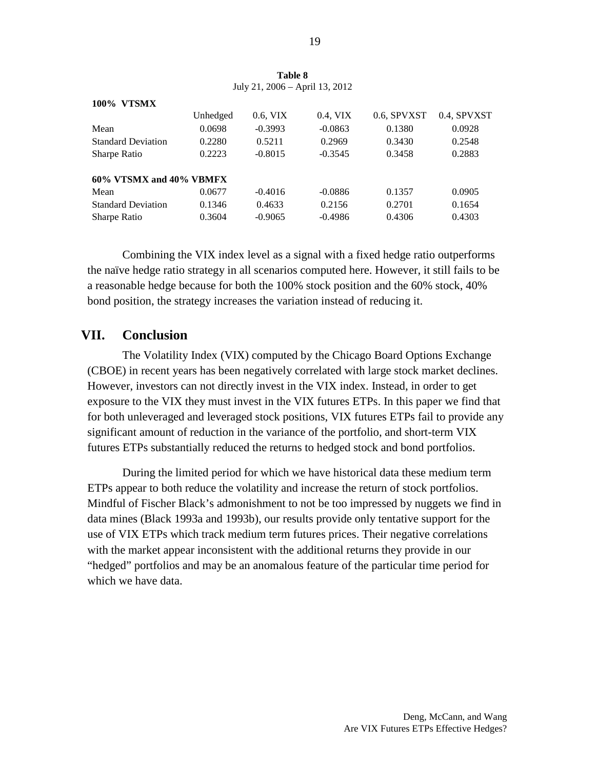| <b>VTSMX</b><br>100%      |          |           |           |             |             |
|---------------------------|----------|-----------|-----------|-------------|-------------|
|                           | Unhedged | 0.6, VIX  | 0.4, VIX  | 0.6, SPVXST | 0.4, SPVXST |
| Mean                      | 0.0698   | $-0.3993$ | $-0.0863$ | 0.1380      | 0.0928      |
| <b>Standard Deviation</b> | 0.2280   | 0.5211    | 0.2969    | 0.3430      | 0.2548      |
| Sharpe Ratio              | 0.2223   | $-0.8015$ | $-0.3545$ | 0.3458      | 0.2883      |
| 60% VTSMX and 40% VBMFX   |          |           |           |             |             |
| Mean                      | 0.0677   | $-0.4016$ | $-0.0886$ | 0.1357      | 0.0905      |
| <b>Standard Deviation</b> | 0.1346   | 0.4633    | 0.2156    | 0.2701      | 0.1654      |
| Sharpe Ratio              | 0.3604   | $-0.9065$ | $-0.4986$ | 0.4306      | 0.4303      |

**Table 8** July 21, 2006 – April 13, 2012

Combining the VIX index level as a signal with a fixed hedge ratio outperforms the naïve hedge ratio strategy in all scenarios computed here. However, it still fails to be a reasonable hedge because for both the 100% stock position and the 60% stock, 40% bond position, the strategy increases the variation instead of reducing it.

## **VII. Conclusion**

The Volatility Index (VIX) computed by the Chicago Board Options Exchange (CBOE) in recent years has been negatively correlated with large stock market declines. However, investors can not directly invest in the VIX index. Instead, in order to get exposure to the VIX they must invest in the VIX futures ETPs. In this paper we find that for both unleveraged and leveraged stock positions, VIX futures ETPs fail to provide any significant amount of reduction in the variance of the portfolio, and short-term VIX futures ETPs substantially reduced the returns to hedged stock and bond portfolios.

During the limited period for which we have historical data these medium term ETPs appear to both reduce the volatility and increase the return of stock portfolios. Mindful of Fischer Black's admonishment to not be too impressed by nuggets we find in data mines (Black 1993a and 1993b), our results provide only tentative support for the use of VIX ETPs which track medium term futures prices. Their negative correlations with the market appear inconsistent with the additional returns they provide in our "hedged" portfolios and may be an anomalous feature of the particular time period for which we have data.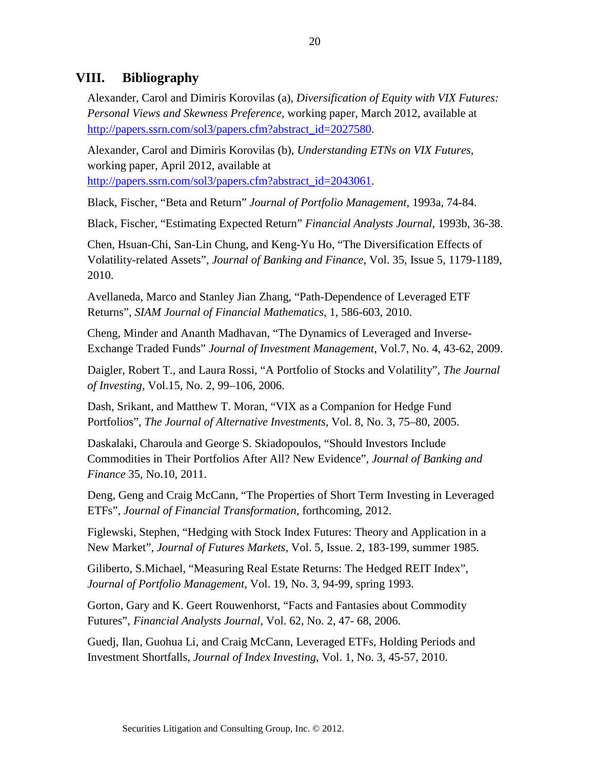# **VIII. Bibliography**

Alexander, Carol and Dimiris Korovilas (a), *Diversification of Equity with VIX Futures: Personal Views and Skewness Preference,* working paper, March 2012, available at [http://papers.ssrn.com/sol3/papers.cfm?abstract\\_id=2027580.](http://papers.ssrn.com/sol3/papers.cfm?abstract_id=2027580)

Alexander, Carol and Dimiris Korovilas (b), *Understanding ETNs on VIX Futures,*  working paper, April 2012, available at [http://papers.ssrn.com/sol3/papers.cfm?abstract\\_id=2043061.](http://papers.ssrn.com/sol3/papers.cfm?abstract_id=2043061)

Black, Fischer, "Beta and Return" *Journal of Portfolio Management,* 1993a, 74-84.

Black, Fischer, "Estimating Expected Return" *Financial Analysts Journal*, 1993b, 36-38.

Chen, Hsuan-Chi, San-Lin Chung, and Keng-Yu Ho, "The Diversification Effects of Volatility-related Assets", *Journal of Banking and Finance*, Vol. 35, Issue 5, 1179-1189, 2010.

Avellaneda, Marco and Stanley Jian Zhang, "Path-Dependence of Leveraged ETF Returns", *SIAM Journal of Financial Mathematics*, 1, 586-603, 2010.

Cheng, Minder and Ananth Madhavan, "The Dynamics of Leveraged and Inverse-Exchange Traded Funds" *Journal of Investment Management*, Vol.7, No. 4, 43-62, 2009.

Daigler, Robert T., and Laura Rossi, "A Portfolio of Stocks and Volatility", *The Journal of Investing,* Vol.15, No. 2, 99–106, 2006.

Dash, Srikant, and Matthew T. Moran, "VIX as a Companion for Hedge Fund Portfolios", *The Journal of Alternative Investments*, Vol. 8, No. 3, 75–80, 2005.

Daskalaki, Charoula and George S. Skiadopoulos, "Should Investors Include Commodities in Their Portfolios After All? New Evidence", *Journal of Banking and Finance* 35, No.10, 2011.

Deng, Geng and Craig McCann, "The Properties of Short Term Investing in Leveraged ETFs"*, Journal of Financial Transformation*, forthcoming, 2012.

Figlewski, Stephen, "Hedging with Stock Index Futures: Theory and Application in a New Market", *Journal of Futures Markets*, Vol. 5, Issue. 2, 183-199, summer 1985.

Giliberto, S.Michael, "Measuring Real Estate Returns: The Hedged REIT Index", *Journal of Portfolio Management*, Vol. 19, No. 3, 94-99, spring 1993.

Gorton, Gary and K. Geert Rouwenhorst, "Facts and Fantasies about Commodity Futures", *Financial Analysts Journal*, Vol. 62, No. 2, 47- 68, 2006.

Guedj, Ilan, Guohua Li, and Craig McCann, Leveraged ETFs, Holding Periods and Investment Shortfalls, *Journal of Index Investing*, Vol. 1, No. 3, 45-57, 2010.